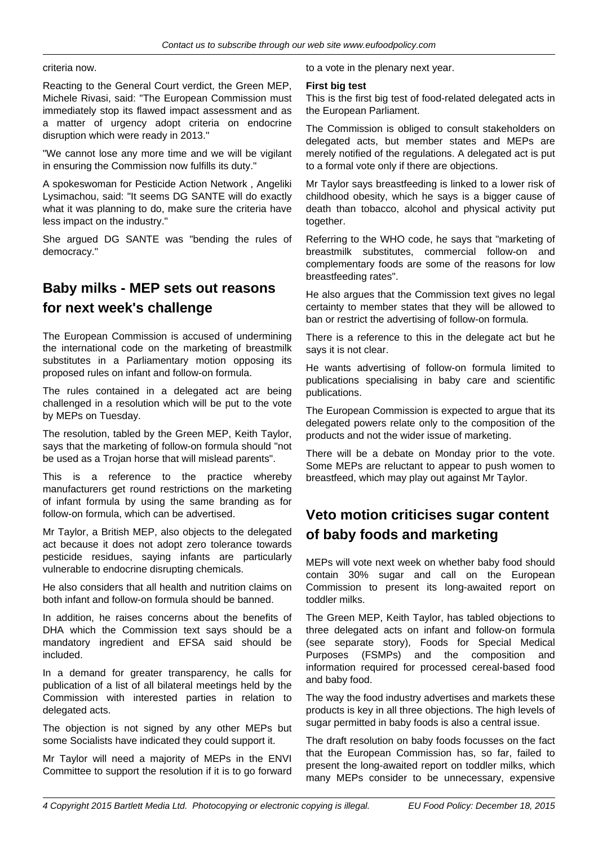criteria now.

Reacting to the General Court verdict, the Green MEP, Michele Rivasi, said: "The European Commission must immediately stop its flawed impact assessment and as a matter of urgency adopt criteria on endocrine disruption which were ready in 2013."

"We cannot lose any more time and we will be vigilant in ensuring the Commission now fulfills its duty."

A spokeswoman for Pesticide Action Network , Angeliki Lysimachou, said: "It seems DG SANTE will do exactly what it was planning to do, make sure the criteria have less impact on the industry."

She argued DG SANTE was "bending the rules of democracy."

# **Baby milks - MEP sets out reasons for next week's challenge**

The European Commission is accused of undermining the international code on the marketing of breastmilk substitutes in a Parliamentary motion opposing its proposed rules on infant and follow-on formula.

The rules contained in a delegated act are being challenged in a resolution which will be put to the vote by MEPs on Tuesday.

The resolution, tabled by the Green MEP, Keith Taylor, says that the marketing of follow-on formula should "not be used as a Trojan horse that will mislead parents".

This is a reference to the practice whereby manufacturers get round restrictions on the marketing of infant formula by using the same branding as for follow-on formula, which can be advertised.

Mr Taylor, a British MEP, also objects to the delegated act because it does not adopt zero tolerance towards pesticide residues, saying infants are particularly vulnerable to endocrine disrupting chemicals.

He also considers that all health and nutrition claims on both infant and follow-on formula should be banned.

In addition, he raises concerns about the benefits of DHA which the Commission text says should be a mandatory ingredient and EFSA said should be included.

In a demand for greater transparency, he calls for publication of a list of all bilateral meetings held by the Commission with interested parties in relation to delegated acts.

The objection is not signed by any other MEPs but some Socialists have indicated they could support it.

Mr Taylor will need a majority of MEPs in the ENVI Committee to support the resolution if it is to go forward to a vote in the plenary next year.

### **First big test**

This is the first big test of food-related delegated acts in the European Parliament.

The Commission is obliged to consult stakeholders on delegated acts, but member states and MEPs are merely notified of the regulations. A delegated act is put to a formal vote only if there are objections.

Mr Taylor says breastfeeding is linked to a lower risk of childhood obesity, which he says is a bigger cause of death than tobacco, alcohol and physical activity put together.

Referring to the WHO code, he says that "marketing of breastmilk substitutes, commercial follow-on and complementary foods are some of the reasons for low breastfeeding rates".

He also argues that the Commission text gives no legal certainty to member states that they will be allowed to ban or restrict the advertising of follow-on formula.

There is a reference to this in the delegate act but he says it is not clear.

He wants advertising of follow-on formula limited to publications specialising in baby care and scientific publications.

The European Commission is expected to argue that its delegated powers relate only to the composition of the products and not the wider issue of marketing.

There will be a debate on Monday prior to the vote. Some MEPs are reluctant to appear to push women to breastfeed, which may play out against Mr Taylor.

# **Veto motion criticises sugar content of baby foods and marketing**

MEPs will vote next week on whether baby food should contain 30% sugar and call on the European Commission to present its long-awaited report on toddler milks.

The Green MEP, Keith Taylor, has tabled objections to three delegated acts on infant and follow-on formula (see separate story), Foods for Special Medical Purposes (FSMPs) and the composition and information required for processed cereal-based food and baby food.

The way the food industry advertises and markets these products is key in all three objections. The high levels of sugar permitted in baby foods is also a central issue.

The draft resolution on baby foods focusses on the fact that the European Commission has, so far, failed to present the long-awaited report on toddler milks, which many MEPs consider to be unnecessary, expensive